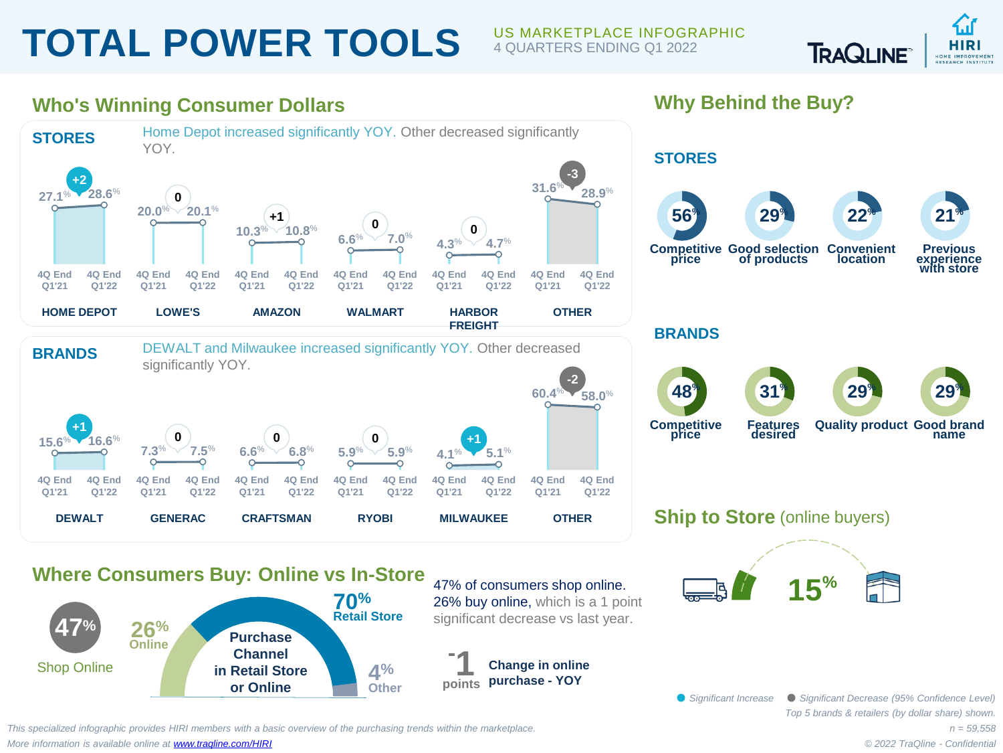## **TOTAL POWER TOOLS** US MARKETPLACE INFOGRAPHIC

## 4 QUARTERS ENDING Q1 2022

**Why Behind the Buy?**



## **Who's Winning Consumer Dollars**



**Change in online purchase - YOY**

*This specialized infographic provides HIRI members with a basic overview of the purchasing trends within the marketplace. More information is available online at [www.traqline.com/HIRI](https://www.traqline.com/HIRI)*

**in Retail Store or Online**

Shop Online

**4% Other**

> *n = 59,558 © 2022 TraQline - Confidential*

*Top 5 brands & retailers (by dollar share) shown.* 

*Significant Increase Significant Decrease (95% Confidence Level)*